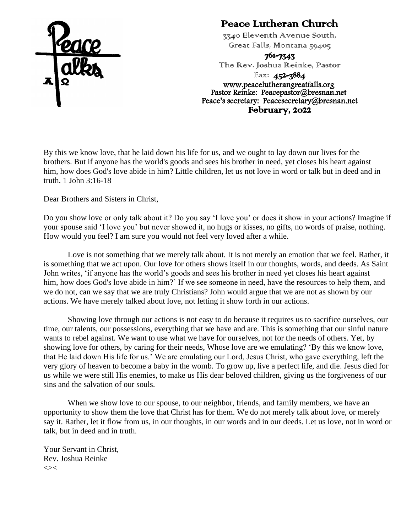

#### Peace Lutheran Church

3340 Eleventh Avenue South, Great Falls, Montana 59405

761-7343

The Rev. Joshua Reinke, Pastor

Fax: 452-3884 www.peacelutherangreatfalls.org Pastor Reinke: [Peacepastor@bresnan.net](mailto:Peacepastor@bresnan.net)  Peace's secretary: [Peacesecretary@bresnan.net](mailto:Peacesecretary@bresnan.net)  February, 2022

By this we know love, that he laid down his life for us, and we ought to lay down our lives for the brothers. But if anyone has the world's goods and sees his brother in need, yet closes his heart against him, how does God's love abide in him? Little children, let us not love in word or talk but in deed and in truth. 1 John 3:16-18

Dear Brothers and Sisters in Christ,

Do you show love or only talk about it? Do you say 'I love you' or does it show in your actions? Imagine if your spouse said 'I love you' but never showed it, no hugs or kisses, no gifts, no words of praise, nothing. How would you feel? I am sure you would not feel very loved after a while.

Love is not something that we merely talk about. It is not merely an emotion that we feel. Rather, it is something that we act upon. Our love for others shows itself in our thoughts, words, and deeds. As Saint John writes, 'if anyone has the world's goods and sees his brother in need yet closes his heart against him, how does God's love abide in him?' If we see someone in need, have the resources to help them, and we do not, can we say that we are truly Christians? John would argue that we are not as shown by our actions. We have merely talked about love, not letting it show forth in our actions.

Showing love through our actions is not easy to do because it requires us to sacrifice ourselves, our time, our talents, our possessions, everything that we have and are. This is something that our sinful nature wants to rebel against. We want to use what we have for ourselves, not for the needs of others. Yet, by showing love for others, by caring for their needs, Whose love are we emulating? 'By this we know love, that He laid down His life for us.' We are emulating our Lord, Jesus Christ, who gave everything, left the very glory of heaven to become a baby in the womb. To grow up, live a perfect life, and die. Jesus died for us while we were still His enemies, to make us His dear beloved children, giving us the forgiveness of our sins and the salvation of our souls.

When we show love to our spouse, to our neighbor, friends, and family members, we have an opportunity to show them the love that Christ has for them. We do not merely talk about love, or merely say it. Rather, let it flow from us, in our thoughts, in our words and in our deeds. Let us love, not in word or talk, but in deed and in truth.

Your Servant in Christ, Rev. Joshua Reinke  $\ll$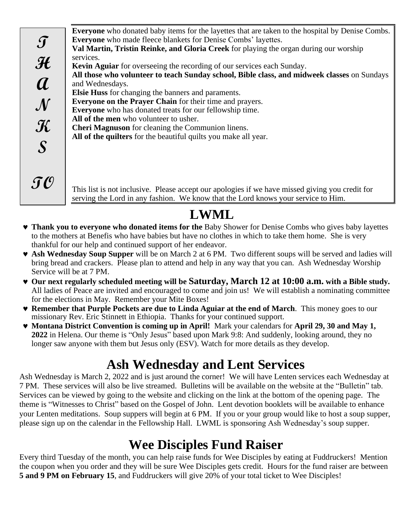**Everyone** who donated baby items for the layettes that are taken to the hospital by Denise Combs. **Everyone** who made fleece blankets for Denise Combs' layettes. **Val Martin, Tristin Reinke, and Gloria Creek** for playing the organ during our worship services. **Kevin Aguiar** for overseeing the recording of our services each Sunday. **All those who volunteer to teach Sunday school, Bible class, and midweek classes** on Sundays and Wednesdays. **Elsie Huss** for changing the banners and paraments. **Everyone on the Prayer Chain** for their time and prayers. **Everyone** who has donated treats for our fellowship time. **All of the men** who volunteer to usher. **Cheri Magnuson** for cleaning the Communion linens. **All of the quilters** for the beautiful quilts you make all year. **T H A N K S TO**

This list is not inclusive. Please accept our apologies if we have missed giving you credit for serving the Lord in any fashion. We know that the Lord knows your service to Him.

# **LWML**

- **Thank you to everyone who donated items for the** Baby Shower for Denise Combs who gives baby layettes to the mothers at Benefis who have babies but have no clothes in which to take them home. She is very thankful for our help and continued support of her endeavor.
- **Ash Wednesday Soup Supper** will be on March 2 at 6 PM. Two different soups will be served and ladies will bring bread and crackers. Please plan to attend and help in any way that you can. Ash Wednesday Worship Service will be at 7 PM.
- **Our next regularly scheduled meeting will be Saturday, March 12 at 10:00 a.m. with a Bible study.**  All ladies of Peace are invited and encouraged to come and join us! We will establish a nominating committee for the elections in May. Remember your Mite Boxes!
- **Remember that Purple Pockets are due to Linda Aguiar at the end of March**. This money goes to our missionary Rev. Eric Stinnett in Ethiopia. Thanks for your continued support.
- **Montana District Convention is coming up in April!** Mark your calendars for **April 29, 30 and May 1, 2022** in Helena. Our theme is "Only Jesus" based upon Mark 9:8: And suddenly, looking around, they no longer saw anyone with them but Jesus only (ESV). Watch for more details as they develop.

### **Ash Wednesday and Lent Services**

Ash Wednesday is March 2, 2022 and is just around the corner! We will have Lenten services each Wednesday at 7 PM. These services will also be live streamed. Bulletins will be available on the website at the "Bulletin" tab. Services can be viewed by going to the website and clicking on the link at the bottom of the opening page. The theme is "Witnesses to Christ" based on the Gospel of John. Lent devotion booklets will be available to enhance your Lenten meditations. Soup suppers will begin at 6 PM. If you or your group would like to host a soup supper, please sign up on the calendar in the Fellowship Hall. LWML is sponsoring Ash Wednesday's soup supper.

### **Wee Disciples Fund Raiser**

Every third Tuesday of the month, you can help raise funds for Wee Disciples by eating at Fuddruckers! Mention the coupon when you order and they will be sure Wee Disciples gets credit. Hours for the fund raiser are between **5 and 9 PM on February 15**, and Fuddruckers will give 20% of your total ticket to Wee Disciples!